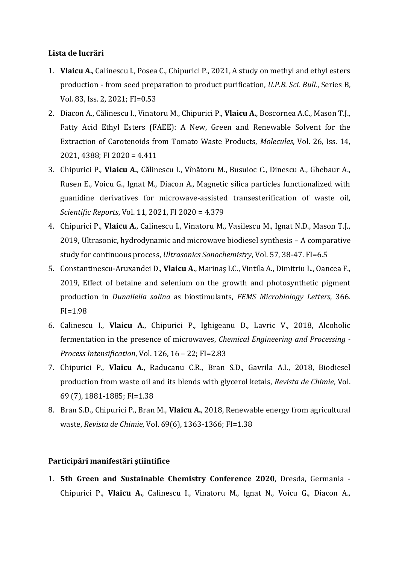## **Lista de lucrări**

- 1. **Vlaicu A.**, Calinescu I., Posea C., Chipurici P., 2021, A study on methyl and ethyl esters production - from seed preparation to product purification, *U.P.B. Sci. Bull.*, Series B, Vol. 83, Iss. 2, 2021; FI=0.53
- 2. Diacon A., Călinescu I., Vinatoru M., Chipurici P., **Vlaicu A.**, Boscornea A.C., Mason T.J., Fatty Acid Ethyl Esters (FAEE): A New, Green and Renewable Solvent for the Extraction of Carotenoids from Tomato Waste Products, *Molecules*, Vol. 26, Iss. 14, 2021, 4388; FI 2020 = 4.411
- 3. Chipurici P., **Vlaicu A.**, Călinescu I., Vînătoru M., Busuioc C., Dinescu A., Ghebaur A., Rusen E., Voicu G., Ignat M., Diacon A., Magnetic silica particles functionalized with guanidine derivatives for microwave-assisted transesterification of waste oil, *Scientific Reports*, Vol. 11, 2021, FI 2020 = 4.379
- 4. Chipurici P., **Vlaicu A.**, Calinescu I., Vinatoru M., Vasilescu M., Ignat N.D., Mason T.J., 2019, Ultrasonic, hydrodynamic and microwave biodiesel synthesis – A comparative study for continuous process, *Ultrasonics Sonochemistry*, Vol. 57, 38-47. FI=6.5
- 5. Constantinescu-Aruxandei D., **Vlaicu A.**, Marinaș I.C., Vintila A., Dimitriu L., Oancea F., 2019, Effect of betaine and selenium on the growth and photosynthetic pigment production in *Dunaliella salina* as biostimulants, *FEMS Microbiology Letters*, 366. FI**=**1.98
- 6. Calinescu I., **Vlaicu A.**, Chipurici P., Ighigeanu D., Lavric V., 2018, Alcoholic fermentation in the presence of microwaves, *Chemical Engineering and Processing - Process Intensification*, Vol. 126, 16 – 22; FI=2.83
- 7. Chipurici P., **Vlaicu A.**, Raducanu C.R., Bran S.D., Gavrila A.I., 2018, Biodiesel production from waste oil and its blends with glycerol ketals, *Revista de Chimie*, Vol. 69 (7), 1881-1885; FI=1.38
- 8. Bran S.D., Chipurici P., Bran M., **Vlaicu A.**, 2018, Renewable energy from agricultural waste, *Revista de Chimie*, Vol. 69(6), 1363-1366; FI=1.38

## **Participări manifestări ştiintifice**

1. **5th Green and Sustainable Chemistry Conference 2020**, Dresda, Germania - Chipurici P., **Vlaicu A.**, Calinescu I., Vinatoru M., Ignat N., Voicu G., Diacon A.,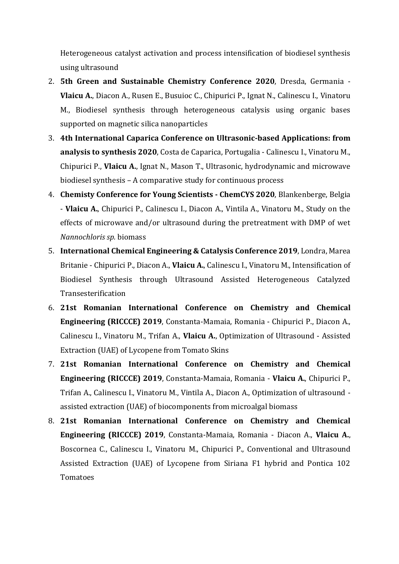Heterogeneous catalyst activation and process intensification of biodiesel synthesis using ultrasound

- 2. **5th Green and Sustainable Chemistry Conference 2020**, Dresda, Germania **Vlaicu A.**, Diacon A., Rusen E., Busuioc C., Chipurici P., Ignat N., Calinescu I., Vinatoru M., Biodiesel synthesis through heterogeneous catalysis using organic bases supported on magnetic silica nanoparticles
- 3. **4th International Caparica Conference on Ultrasonic-based Applications: from analysis to synthesis 2020**, Costa de Caparica, Portugalia - Calinescu I., Vinatoru M., Chipurici P., **Vlaicu A.**, Ignat N., Mason T., Ultrasonic, hydrodynamic and microwave biodiesel synthesis – A comparative study for continuous process
- 4. **Chemisty Conference for Young Scientists - ChemCYS 2020**, Blankenberge, Belgia - **Vlaicu A.**, Chipurici P., Calinescu I., Diacon A., Vintila A., Vinatoru M., Study on the effects of microwave and/or ultrasound during the pretreatment with DMP of wet *Nannochloris sp.* biomass
- 5. **International Chemical Engineering & Catalysis Conference 2019**, Londra, Marea Britanie - Chipurici P., Diacon A., **Vlaicu A.**, Calinescu I., Vinatoru M., Intensification of Biodiesel Synthesis through Ultrasound Assisted Heterogeneous Catalyzed Transesterification
- 6. **21st Romanian International Conference on Chemistry and Chemical Engineering (RICCCE) 2019**, Constanta-Mamaia, Romania - Chipurici P., Diacon A., Calinescu I., Vinatoru M., Trifan A., **Vlaicu A.**, Optimization of Ultrasound - Assisted Extraction (UAE) of Lycopene from Tomato Skins
- 7. **21st Romanian International Conference on Chemistry and Chemical Engineering (RICCCE) 2019**, Constanta-Mamaia, Romania - **Vlaicu A.**, Chipurici P., Trifan A., Calinescu I., Vinatoru M., Vintila A., Diacon A., Optimization of ultrasound assisted extraction (UAE) of biocomponents from microalgal biomass
- 8. **21st Romanian International Conference on Chemistry and Chemical Engineering (RICCCE) 2019**, Constanta-Mamaia, Romania - Diacon A., **Vlaicu A.**, Boscornea C., Calinescu I., Vinatoru M., Chipurici P., Conventional and Ultrasound Assisted Extraction (UAE) of Lycopene from Siriana F1 hybrid and Pontica 102 Tomatoes